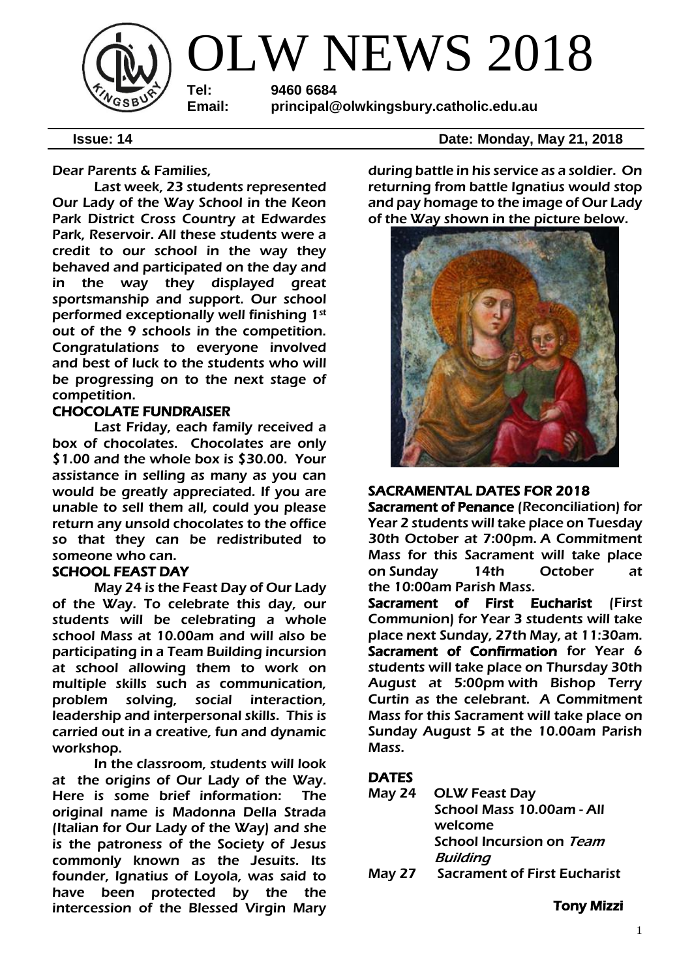

Dear Parents & Families,

Last week, 23 students represented Our Lady of the Way School in the Keon Park District Cross Country at Edwardes Park, Reservoir. All these students were a credit to our school in the way they behaved and participated on the day and in the way they displayed great sportsmanship and support. Our school performed exceptionally well finishing 1st out of the 9 schools in the competition. Congratulations to everyone involved and best of luck to the students who will be progressing on to the next stage of competition.

#### CHOCOLATE FUNDRAISER

Last Friday, each family received a box of chocolates. Chocolates are only \$1.00 and the whole box is \$30.00. Your assistance in selling as many as you can would be greatly appreciated. If you are unable to sell them all, could you please return any unsold chocolates to the office so that they can be redistributed to someone who can.

#### SCHOOL FEAST DAY

May 24 is the Feast Day of Our Lady of the Way. To celebrate this day, our students will be celebrating a whole school Mass at 10.00am and will also be participating in a Team Building incursion at school allowing them to work on multiple skills such as communication, problem solving, social interaction, leadership and interpersonal skills. This is carried out in a creative, fun and dynamic workshop.

In the classroom, students will look at the origins of Our Lady of the Way. Here is some brief information: The original name is Madonna Della Strada (Italian for Our Lady of the Way) and she is the patroness of the Society of Jesus commonly known as the Jesuits. Its founder, Ignatius of Loyola, was said to have been protected by the the intercession of the Blessed Virgin Mary

**Issue: 14 Date: Monday, May 21, 2018** 

during battle in his service as a soldier. On returning from battle Ignatius would stop and pay homage to the image of Our Lady of the Way shown in the picture below.



### SACRAMENTAL DATES FOR 2018

Sacrament of Penance (Reconciliation) for Year 2 students will take place on Tuesday 30th October at 7:00pm. A Commitment Mass for this Sacrament will take place on Sunday 14th October at the 10:00am Parish Mass.

Sacrament of First Eucharist (First Communion) for Year 3 students will take place next Sunday, 27th May, at 11:30am. Sacrament of Confirmation for Year 6 students will take place on Thursday 30th August at 5:00pm with Bishop Terry Curtin as the celebrant. A Commitment Mass for this Sacrament will take place on Sunday August 5 at the 10.00am Parish Mass.

# **DATES**

|        | May 24 OLW Feast Day                |
|--------|-------------------------------------|
|        | School Mass 10.00am - All           |
|        | welcome                             |
|        | <b>School Incursion on Team</b>     |
|        | <b>Building</b>                     |
| Mav 27 | <b>Sacrament of First Eucharist</b> |

Tony Mizzi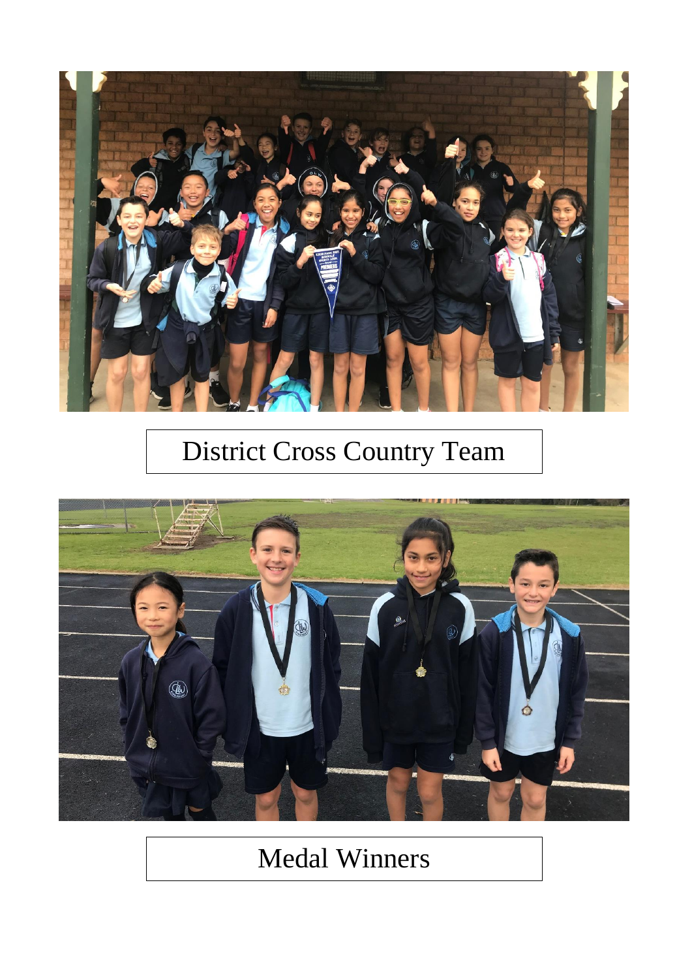

# **District Cross Country Team**



# Medal Winners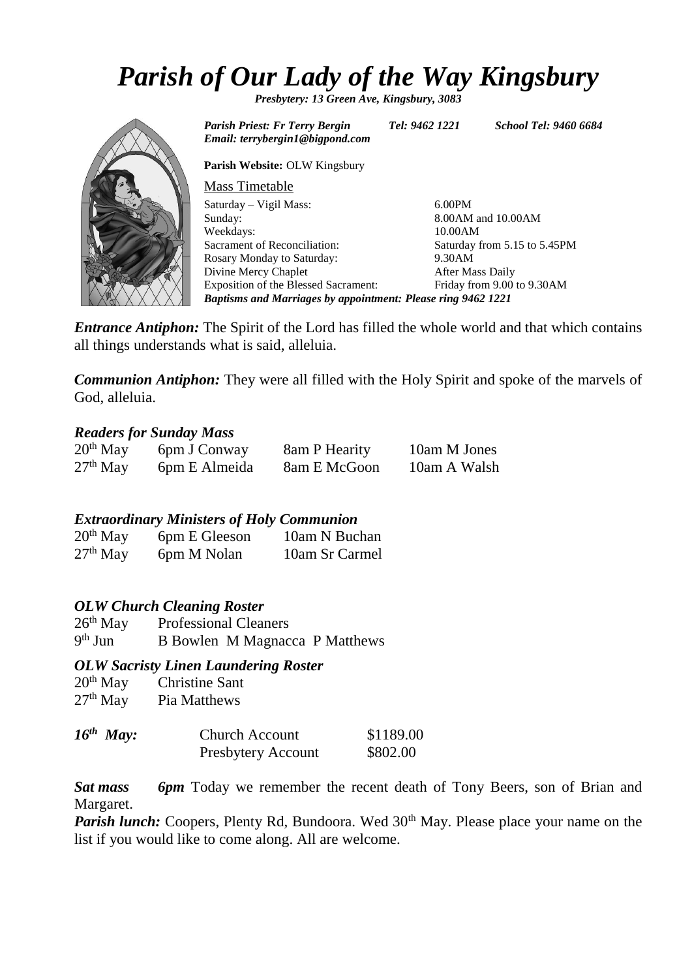# *Parish of Our Lady of the Way Kingsbury*

*Presbytery: 13 Green Ave, Kingsbury, 3083*

*Parish Priest: Fr Terry Bergin Tel: 9462 1221 School Tel: 9460 6684 Email: terrybergin1@bigpond.com*

**Parish Website:** OLW Kingsbury

| <b>Mass Timetable</b>                                               |                              |  |  |  |
|---------------------------------------------------------------------|------------------------------|--|--|--|
| Saturday – Vigil Mass:                                              | $6.00$ PM                    |  |  |  |
| Sunday:                                                             | 8.00AM and 10.00AM           |  |  |  |
| Weekdays:                                                           | 10.00AM                      |  |  |  |
| Sacrament of Reconciliation:                                        | Saturday from 5.15 to 5.45PM |  |  |  |
| Rosary Monday to Saturday:                                          | 9.30AM                       |  |  |  |
| Divine Mercy Chaplet                                                | After Mass Daily             |  |  |  |
| Exposition of the Blessed Sacrament:                                | Friday from 9.00 to 9.30AM   |  |  |  |
| <b>Baptisms and Marriages by appointment: Please ring 9462 1221</b> |                              |  |  |  |

*Entrance Antiphon:* The Spirit of the Lord has filled the whole world and that which contains all things understands what is said, alleluia.

*Communion Antiphon:* They were all filled with the Holy Spirit and spoke of the marvels of God, alleluia.

#### *Readers for Sunday Mass*

| $20th$ May | 6pm J Conway  | 8am P Hearity | 10am M Jones |
|------------|---------------|---------------|--------------|
| $27th$ May | 6pm E Almeida | 8am E McGoon  | 10am A Walsh |

*Extraordinary Ministers of Holy Communion*

| $20th$ May | 6pm E Gleeson | 10am N Buchan  |
|------------|---------------|----------------|
| $27th$ May | 6pm M Nolan   | 10am Sr Carmel |

*OLW Church Cleaning Roster*

26<sup>th</sup> May Professional Cleaners  $9<sup>th</sup>$  Jun B Bowlen M Magnacca P Matthews

#### *OLW Sacristy Linen Laundering Roster*

| $20th$ May | <b>Christine Sant</b> |
|------------|-----------------------|
| $27th$ May | Pia Matthews          |

| $16^{th}$ May: | <b>Church Account</b>     | \$1189.00 |
|----------------|---------------------------|-----------|
|                | <b>Presbytery Account</b> | \$802.00  |

*Sat mass 6pm* Today we remember the recent death of Tony Beers, son of Brian and Margaret.

*Parish lunch:* Coopers, Plenty Rd, Bundoora. Wed 30<sup>th</sup> May. Please place your name on the list if you would like to come along. All are welcome.